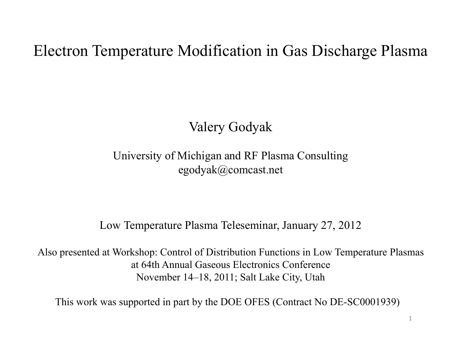# Electron Temperature Modification in Gas Discharge Plasma

# Valery Godyak

## University of Michigan and RF Plasma Consulting egodyak@comcast.net

#### Low Temperature Plasma Teleseminar, January 27, 2012

Also presented at Workshop: Control of Distribution Functions in Low Temperature Plasmas at 64th Annual Gaseous Electronics Conference November 14–18, 2011; Salt Lake City, Utah

This work was supported in part by the DOE OFES (Contract No DE-SC0001939)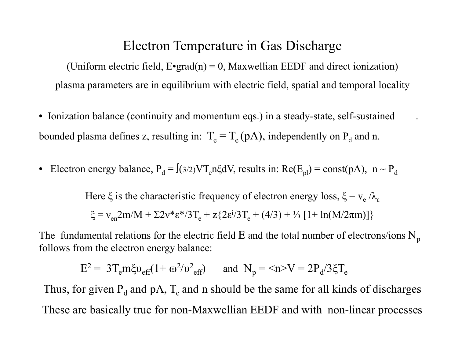## Electron Temperature in Gas Discharge

(Uniform electric field,  $E$ •grad(n) = 0, Maxwellian EEDF and direct ionization) plasma parameters are in equilibrium with electric field, spatial and temporal locality

- Ionization balance (continuity and momentum eqs.) in a steady-state, self-sustained . bounded plasma defines z, resulting in:  $T_e = T_e (p\Lambda)$ , independently on  $P_d$  and n.
- $\bullet$ Electron energy balance,  $P_d = \int (3/2) V T_e n \xi dV$ , results in:  $Re(E_{pl}) = const(p\Lambda)$ ,  $n \sim P_d$

Here  $\xi$  is the characteristic frequency of electron energy loss,  $\xi = v_e / \lambda_e$  $\xi = v_{en}2m/M + \Sigma 2v^* \varepsilon^* / 3T_e + z \{ 2\varepsilon^i / 3T_e + (4/3) + \frac{1}{3} [1 + \ln(M/2\pi m)] \}$ 

The fundamental relations for the electric field E and the total number of electrons/ions  $N_p$ follows from the electron energy balance:

$$
E^2 = 3T_e m \xi v_{\text{eff}} (1 + \omega^2/v_{\text{eff}}^2) \quad \text{and} \quad N_p = \langle n \rangle V = 2P_d/3\xi T_e
$$

Thus, for given  $\rm P_d$  and p $\rm \Lambda,$   $\rm T_e$  and n should be the same for all kinds of discharges These are basically true for non-Maxwellian EEDF and with non-linear processes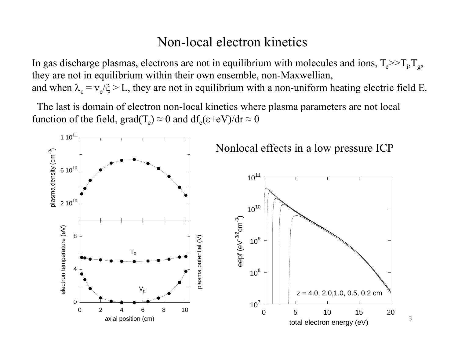## Non-local electron kinetics

In gas discharge plasmas, electrons are not in equilibrium with molecules and ions,  $T_{\rm e}$ >> $T_{\rm i}$ , $T_{\rm g}$ , they are not in equilibrium within their own ensemble, non-Maxwellian, and when  $\lambda_{\varepsilon} = v_{\varepsilon}/\xi > L$ , they are not in equilibrium with a non-uniform heating electric field E.

The last is domain of electron non-local kinetics where plasma parameters are not local function of the field,  $grad(T_e) \approx 0$  and  $df_e(\epsilon+eV)/dr \approx 0$ 

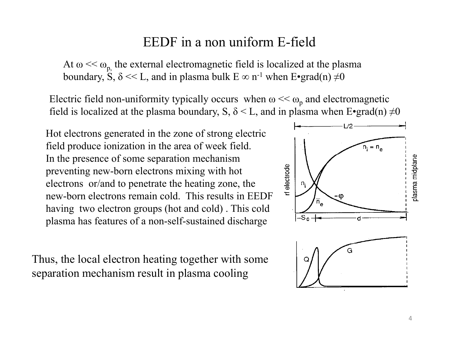## EEDF in a non uniform E-field

At  $\omega \ll \omega_{p}$  the external electromagnetic field is localized at the plasma boundary, S,  $\delta \ll L$ , and in plasma bulk  $E \infty$  n<sup>-1</sup> when  $E \cdot \text{grad}(n) \neq 0$ 

Electric field non-uniformity typically occurs when  $\omega \ll \omega_p$  and electromagnetic field is localized at the plasma boundary, S,  $\delta$  < L, and in plasma when E•grad(n)  $\neq$ 0

Hot electrons generated in the zone of strong electric field produce ionization in the area of week field. In the presence of some separation mechanism preventing new-born electrons mixing with hot electrons or/and to penetrate the heating zone, the new-born electrons remain cold. This results in EEDF having two electron groups (hot and cold) . This cold plasma has features of a non-self-sustained discharge

Thus, the local electron heating together with some separation mechanism result in plasma cooling

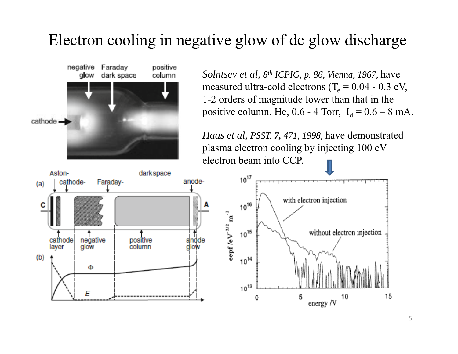# Electron cooling in negative glow of dc glow discharge



*Solntsev et al, 8th ICPIG, p. 86, Vienna, 1967,* have measured ultra-cold electrons (T<sub>e</sub> =  $0.04$  -  $0.3$  eV, 1-2 orders of magnitude lower than that in the positive column. He,  $0.6$  - 4 Torr,  $I_d = 0.6 - 8$  mA.

*Haas et al, PSST. 7, 471, 1998,* have demonstrated plasma electron cooling by injecting 100 eV electron beam into CCP.

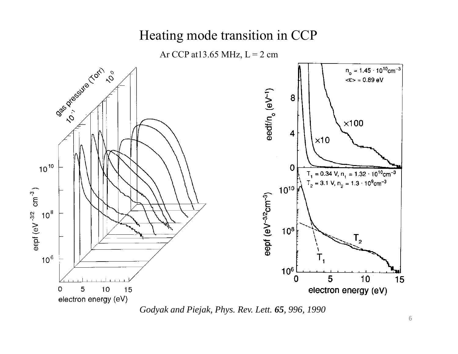## Heating mode transition in CCP

Ar CCP at 13.65 MHz,  $L = 2$  cm



*Godyak and Piejak, Phys. Rev. Lett. 65, 996, 1990*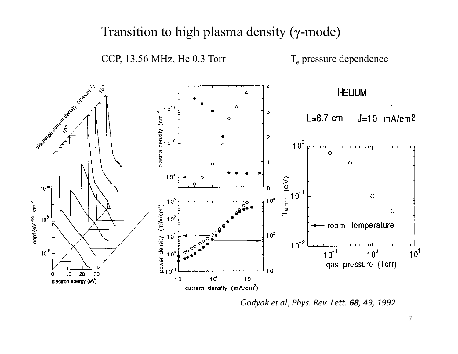#### Transition to high plasma density ( γ-mode)

CCP, 13.56 MHz, He 0.3 Torr

Section of the content density replace and  $\dot{\circ}$ **HELIUM**  $\circ$ plasma density  $\left(\text{cm}^3\right)^2$ <br> $\frac{1}{\text{c}}$  $\mathbf{3}$  $L=6.7$  cm  $J=10$  mA/cm<sup>2</sup> O  $\mathbf 2$  $10<sup>0</sup>$  $\circ$  $\overline{1}$  $\circ$  $\ddot{\mathbf{o}}$  $10<sup>9</sup>$  $\mathsf{T}_{\mathsf{e}} \mathop{\mathsf{min}}\limits_{\mathsf{C}_1} (\mathsf{eV})$  $10^{10}$  $\circ$  $10^3$ eept (eV 3/2 cm<sup>-3</sup>)  $10<sup>3</sup>$ power density  $(mW/cm^2)$ <br>  $\frac{1}{C}$   $\frac{1}{C}$   $\frac{1}{C}$   $\frac{1}{C}$   $\frac{1}{C}$  $\circ$  $10^8$  $10<sup>2</sup>$ - room temperature ↞  $10^2$  $0^1$  $10^{-2}$  $10^0$  $10<sup>6</sup>$  $10^{-1}$  $10<sup>1</sup>$  $0^{\circ}$ gas pressure (Torr)  $10<sup>1</sup>$  $10$  $20$ 30  $\mathbf{0}$  $10^{-1}$  $10^0$  $10<sup>1</sup>$ electron energy (eV) current density (mA/cm<sup>2</sup>)

*Godyak et al, Phys. Rev. Lett. 68, 49, 1992*

T<sub>e</sub> pressure dependence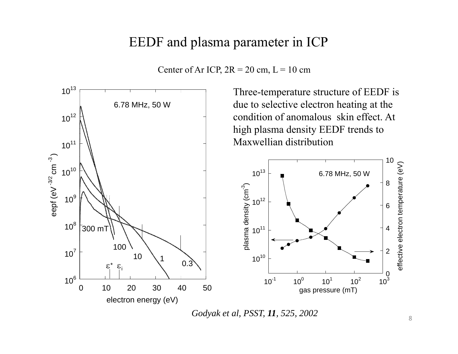## EEDF and plasma parameter in ICP





*Godyak et al, PSST, 11, 525, 2002*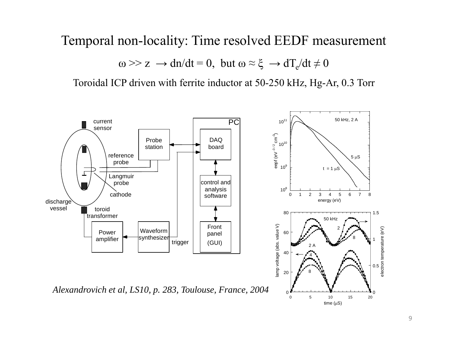### Temporal non-locality: Time resolved EEDF measurement

$$
\omega \gg z \rightarrow dn/dt = 0
$$
, but  $\omega \approx \xi \rightarrow dT_e/dt \neq 0$ 

Toroidal ICP driven with ferrite inductor at 50-250 kHz, Hg-Ar, 0.3 Torr

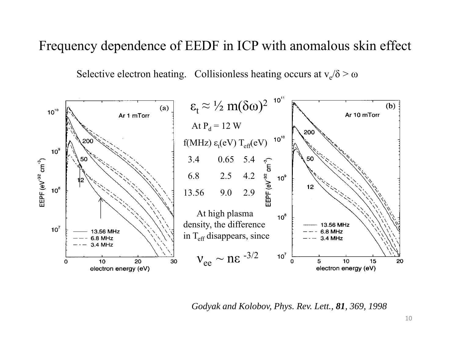## Frequency dependence of EEDF in ICP with anomalous skin effect

Selective electron heating. Collisionless heating occurs at  $v_e/\delta > \omega$ 



*Godyak and Kolobov, Phys. Rev. Lett., 81, 369, 1998*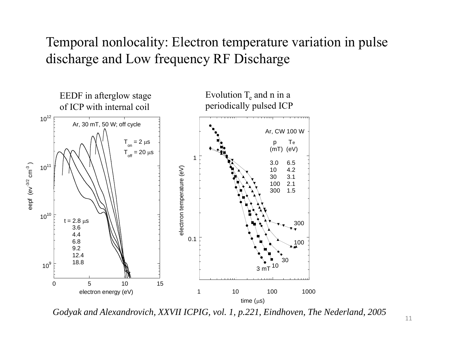## Temporal nonlocality: Electron temperature variation in pulse discharge and Low frequency RF Discharge



*Godyak and Alexandrovich, XXVII ICPIG, vol. 1, p.221, Eindhoven, The Nederland, 2005*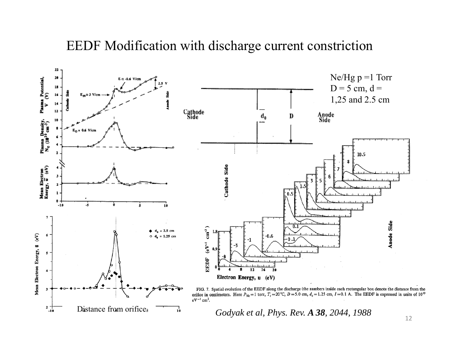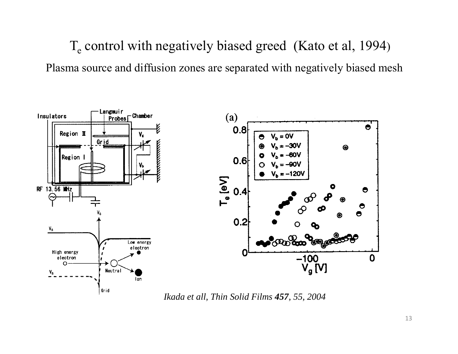$T_e$  control with negatively biased greed (Kato et al, 1994) Plasma source and diffusion zones are separated with negatively biased mesh



*Ikada et all, Thin Solid Films 457, 55, 2004*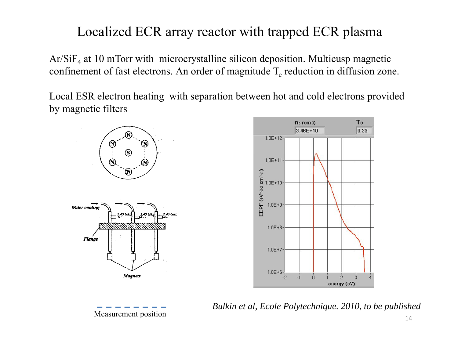# Localized ECR array reactor with trapped ECR plasma

Ar/SiF 4 at 10 mTorr with microcrystalline silicon deposition. Multicusp magnetic confinement of fast electrons. An order of magnitude  $T_e$  reduction in diffusion zone.

Local ESR electron heating with separation between hot and cold electrons provided by magnetic filters



Measurement position *Bulkin et al, Ecole Polytechnique. 2010, to be published* <sup>14</sup>

Te

 $0.33$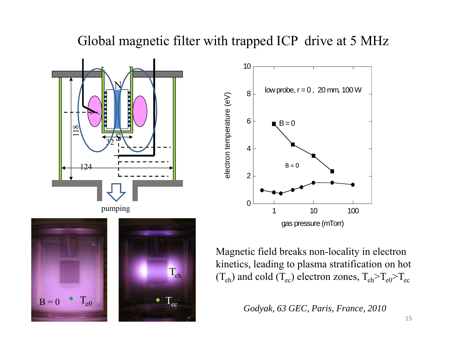## Global magnetic filter with trapped ICP drive at 5 MHz





Magnetic field breaks non-locality in electron kinetics, leading to plasma stratification on hot  $T_{eh}$  (T<sub>eh</sub>) and cold (T<sub>ec</sub>) electron zones, T<sub>eh</sub>>T<sub>e0</sub>>T<sub>ec</sub>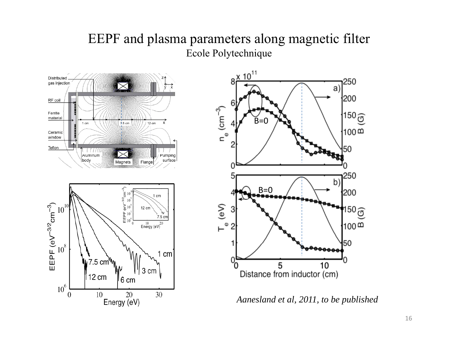### EEPF and plasma parameters along magnetic filter Ecole Polytechnique